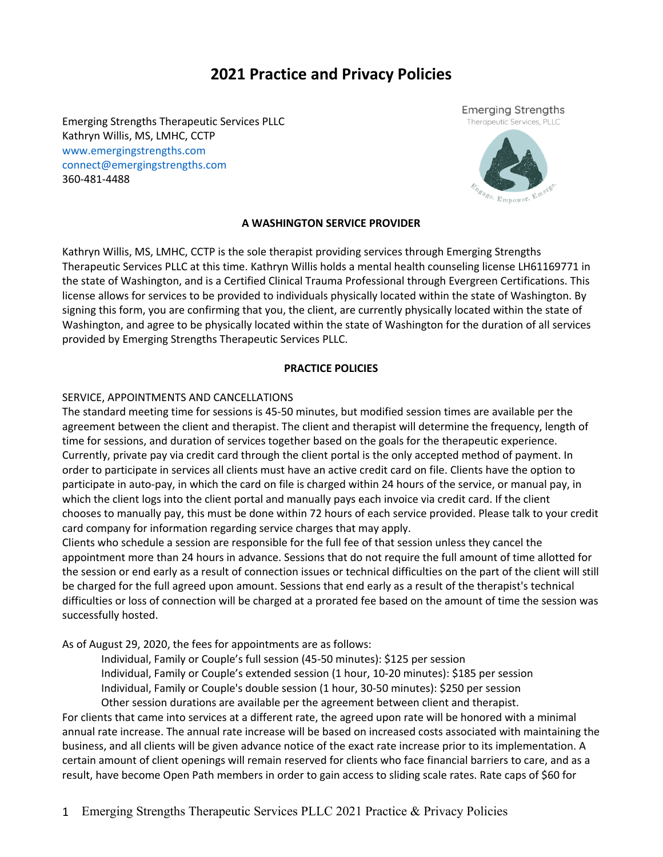# **2021 Practice and Privacy Policies**

Emerging Strengths Therapeutic Services PLLC Kathryn Willis, MS, LMHC, CCTP www.emergingstrengths.com connect@emergingstrengths.com 360-481-4488



## **A WASHINGTON SERVICE PROVIDER**

Kathryn Willis, MS, LMHC, CCTP is the sole therapist providing services through Emerging Strengths Therapeutic Services PLLC at this time. Kathryn Willis holds a mental health counseling license LH61169771 in the state of Washington, and is a Certified Clinical Trauma Professional through Evergreen Certifications. This license allows for services to be provided to individuals physically located within the state of Washington. By signing this form, you are confirming that you, the client, are currently physically located within the state of Washington, and agree to be physically located within the state of Washington for the duration of all services provided by Emerging Strengths Therapeutic Services PLLC.

#### **PRACTICE POLICIES**

#### SERVICE, APPOINTMENTS AND CANCELLATIONS

The standard meeting time for sessions is 45-50 minutes, but modified session times are available per the agreement between the client and therapist. The client and therapist will determine the frequency, length of time for sessions, and duration of services together based on the goals for the therapeutic experience. Currently, private pay via credit card through the client portal is the only accepted method of payment. In order to participate in services all clients must have an active credit card on file. Clients have the option to participate in auto-pay, in which the card on file is charged within 24 hours of the service, or manual pay, in which the client logs into the client portal and manually pays each invoice via credit card. If the client chooses to manually pay, this must be done within 72 hours of each service provided. Please talk to your credit card company for information regarding service charges that may apply.

Clients who schedule a session are responsible for the full fee of that session unless they cancel the appointment more than 24 hours in advance. Sessions that do not require the full amount of time allotted for the session or end early as a result of connection issues or technical difficulties on the part of the client will still be charged for the full agreed upon amount. Sessions that end early as a result of the therapist's technical difficulties or loss of connection will be charged at a prorated fee based on the amount of time the session was successfully hosted.

As of August 29, 2020, the fees for appointments are as follows:

Individual, Family or Couple's full session (45-50 minutes): \$125 per session Individual, Family or Couple's extended session (1 hour, 10-20 minutes): \$185 per session Individual, Family or Couple's double session (1 hour, 30-50 minutes): \$250 per session Other session durations are available per the agreement between client and therapist.

For clients that came into services at a different rate, the agreed upon rate will be honored with a minimal annual rate increase. The annual rate increase will be based on increased costs associated with maintaining the business, and all clients will be given advance notice of the exact rate increase prior to its implementation. A certain amount of client openings will remain reserved for clients who face financial barriers to care, and as a result, have become Open Path members in order to gain access to sliding scale rates. Rate caps of \$60 for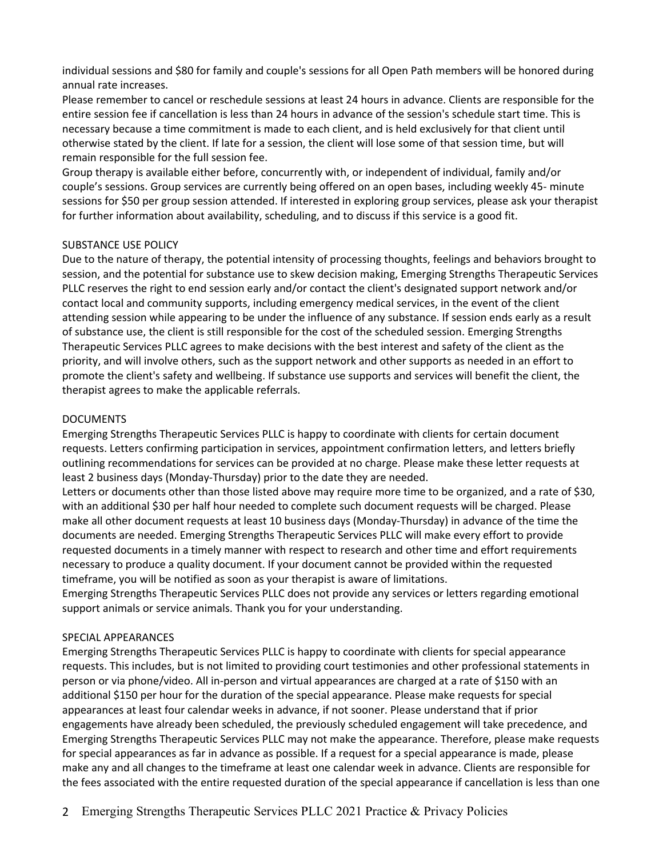individual sessions and \$80 for family and couple's sessions for all Open Path members will be honored during annual rate increases.

Please remember to cancel or reschedule sessions at least 24 hours in advance. Clients are responsible for the entire session fee if cancellation is less than 24 hours in advance of the session's schedule start time. This is necessary because a time commitment is made to each client, and is held exclusively for that client until otherwise stated by the client. If late for a session, the client will lose some of that session time, but will remain responsible for the full session fee.

Group therapy is available either before, concurrently with, or independent of individual, family and/or couple's sessions. Group services are currently being offered on an open bases, including weekly 45- minute sessions for \$50 per group session attended. If interested in exploring group services, please ask your therapist for further information about availability, scheduling, and to discuss if this service is a good fit.

# SUBSTANCE USE POLICY

Due to the nature of therapy, the potential intensity of processing thoughts, feelings and behaviors brought to session, and the potential for substance use to skew decision making, Emerging Strengths Therapeutic Services PLLC reserves the right to end session early and/or contact the client's designated support network and/or contact local and community supports, including emergency medical services, in the event of the client attending session while appearing to be under the influence of any substance. If session ends early as a result of substance use, the client is still responsible for the cost of the scheduled session. Emerging Strengths Therapeutic Services PLLC agrees to make decisions with the best interest and safety of the client as the priority, and will involve others, such as the support network and other supports as needed in an effort to promote the client's safety and wellbeing. If substance use supports and services will benefit the client, the therapist agrees to make the applicable referrals.

## DOCUMENTS

Emerging Strengths Therapeutic Services PLLC is happy to coordinate with clients for certain document requests. Letters confirming participation in services, appointment confirmation letters, and letters briefly outlining recommendations for services can be provided at no charge. Please make these letter requests at least 2 business days (Monday-Thursday) prior to the date they are needed.

Letters or documents other than those listed above may require more time to be organized, and a rate of \$30, with an additional \$30 per half hour needed to complete such document requests will be charged. Please make all other document requests at least 10 business days (Monday-Thursday) in advance of the time the documents are needed. Emerging Strengths Therapeutic Services PLLC will make every effort to provide requested documents in a timely manner with respect to research and other time and effort requirements necessary to produce a quality document. If your document cannot be provided within the requested timeframe, you will be notified as soon as your therapist is aware of limitations.

Emerging Strengths Therapeutic Services PLLC does not provide any services or letters regarding emotional support animals or service animals. Thank you for your understanding.

## SPECIAL APPEARANCES

Emerging Strengths Therapeutic Services PLLC is happy to coordinate with clients for special appearance requests. This includes, but is not limited to providing court testimonies and other professional statements in person or via phone/video. All in-person and virtual appearances are charged at a rate of \$150 with an additional \$150 per hour for the duration of the special appearance. Please make requests for special appearances at least four calendar weeks in advance, if not sooner. Please understand that if prior engagements have already been scheduled, the previously scheduled engagement will take precedence, and Emerging Strengths Therapeutic Services PLLC may not make the appearance. Therefore, please make requests for special appearances as far in advance as possible. If a request for a special appearance is made, please make any and all changes to the timeframe at least one calendar week in advance. Clients are responsible for the fees associated with the entire requested duration of the special appearance if cancellation is less than one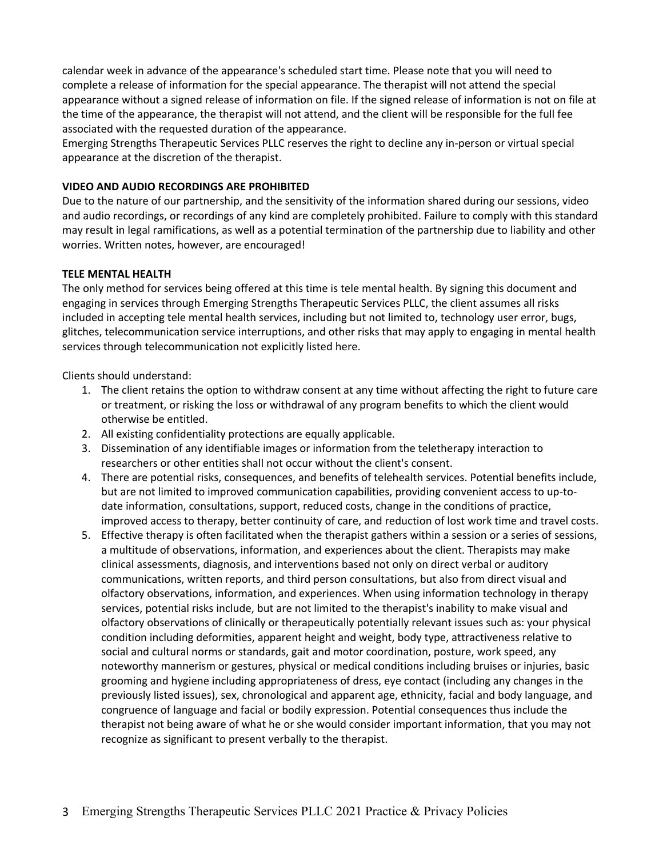calendar week in advance of the appearance's scheduled start time. Please note that you will need to complete a release of information for the special appearance. The therapist will not attend the special appearance without a signed release of information on file. If the signed release of information is not on file at the time of the appearance, the therapist will not attend, and the client will be responsible for the full fee associated with the requested duration of the appearance.

Emerging Strengths Therapeutic Services PLLC reserves the right to decline any in-person or virtual special appearance at the discretion of the therapist.

## **VIDEO AND AUDIO RECORDINGS ARE PROHIBITED**

Due to the nature of our partnership, and the sensitivity of the information shared during our sessions, video and audio recordings, or recordings of any kind are completely prohibited. Failure to comply with this standard may result in legal ramifications, as well as a potential termination of the partnership due to liability and other worries. Written notes, however, are encouraged!

## **TELE MENTAL HEALTH**

The only method for services being offered at this time is tele mental health. By signing this document and engaging in services through Emerging Strengths Therapeutic Services PLLC, the client assumes all risks included in accepting tele mental health services, including but not limited to, technology user error, bugs, glitches, telecommunication service interruptions, and other risks that may apply to engaging in mental health services through telecommunication not explicitly listed here.

Clients should understand:

- 1. The client retains the option to withdraw consent at any time without affecting the right to future care or treatment, or risking the loss or withdrawal of any program benefits to which the client would otherwise be entitled.
- 2. All existing confidentiality protections are equally applicable.
- 3. Dissemination of any identifiable images or information from the teletherapy interaction to researchers or other entities shall not occur without the client's consent.
- 4. There are potential risks, consequences, and benefits of telehealth services. Potential benefits include, but are not limited to improved communication capabilities, providing convenient access to up-todate information, consultations, support, reduced costs, change in the conditions of practice, improved access to therapy, better continuity of care, and reduction of lost work time and travel costs.
- 5. Effective therapy is often facilitated when the therapist gathers within a session or a series of sessions, a multitude of observations, information, and experiences about the client. Therapists may make clinical assessments, diagnosis, and interventions based not only on direct verbal or auditory communications, written reports, and third person consultations, but also from direct visual and olfactory observations, information, and experiences. When using information technology in therapy services, potential risks include, but are not limited to the therapist's inability to make visual and olfactory observations of clinically or therapeutically potentially relevant issues such as: your physical condition including deformities, apparent height and weight, body type, attractiveness relative to social and cultural norms or standards, gait and motor coordination, posture, work speed, any noteworthy mannerism or gestures, physical or medical conditions including bruises or injuries, basic grooming and hygiene including appropriateness of dress, eye contact (including any changes in the previously listed issues), sex, chronological and apparent age, ethnicity, facial and body language, and congruence of language and facial or bodily expression. Potential consequences thus include the therapist not being aware of what he or she would consider important information, that you may not recognize as significant to present verbally to the therapist.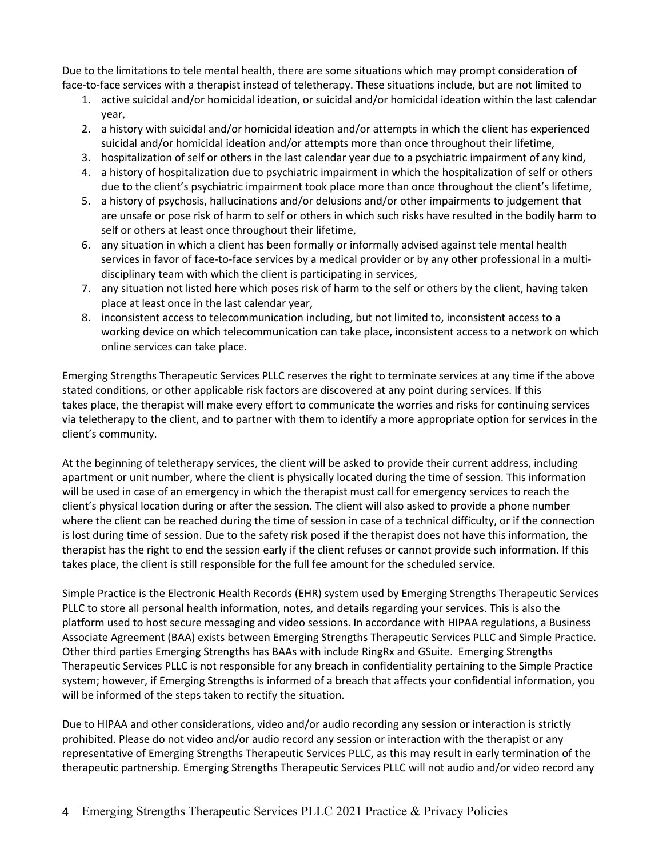Due to the limitations to tele mental health, there are some situations which may prompt consideration of face-to-face services with a therapist instead of teletherapy. These situations include, but are not limited to

- 1. active suicidal and/or homicidal ideation, or suicidal and/or homicidal ideation within the last calendar year,
- 2. a history with suicidal and/or homicidal ideation and/or attempts in which the client has experienced suicidal and/or homicidal ideation and/or attempts more than once throughout their lifetime,
- 3. hospitalization of self or others in the last calendar year due to a psychiatric impairment of any kind,
- 4. a history of hospitalization due to psychiatric impairment in which the hospitalization of self or others due to the client's psychiatric impairment took place more than once throughout the client's lifetime,
- 5. a history of psychosis, hallucinations and/or delusions and/or other impairments to judgement that are unsafe or pose risk of harm to self or others in which such risks have resulted in the bodily harm to self or others at least once throughout their lifetime,
- 6. any situation in which a client has been formally or informally advised against tele mental health services in favor of face-to-face services by a medical provider or by any other professional in a multidisciplinary team with which the client is participating in services,
- 7. any situation not listed here which poses risk of harm to the self or others by the client, having taken place at least once in the last calendar year,
- 8. inconsistent access to telecommunication including, but not limited to, inconsistent access to a working device on which telecommunication can take place, inconsistent access to a network on which online services can take place.

Emerging Strengths Therapeutic Services PLLC reserves the right to terminate services at any time if the above stated conditions, or other applicable risk factors are discovered at any point during services. If this takes place, the therapist will make every effort to communicate the worries and risks for continuing services via teletherapy to the client, and to partner with them to identify a more appropriate option for services in the client's community.

At the beginning of teletherapy services, the client will be asked to provide their current address, including apartment or unit number, where the client is physically located during the time of session. This information will be used in case of an emergency in which the therapist must call for emergency services to reach the client's physical location during or after the session. The client will also asked to provide a phone number where the client can be reached during the time of session in case of a technical difficulty, or if the connection is lost during time of session. Due to the safety risk posed if the therapist does not have this information, the therapist has the right to end the session early if the client refuses or cannot provide such information. If this takes place, the client is still responsible for the full fee amount for the scheduled service.

Simple Practice is the Electronic Health Records (EHR) system used by Emerging Strengths Therapeutic Services PLLC to store all personal health information, notes, and details regarding your services. This is also the platform used to host secure messaging and video sessions. In accordance with HIPAA regulations, a Business Associate Agreement (BAA) exists between Emerging Strengths Therapeutic Services PLLC and Simple Practice. Other third parties Emerging Strengths has BAAs with include RingRx and GSuite. Emerging Strengths Therapeutic Services PLLC is not responsible for any breach in confidentiality pertaining to the Simple Practice system; however, if Emerging Strengths is informed of a breach that affects your confidential information, you will be informed of the steps taken to rectify the situation.

Due to HIPAA and other considerations, video and/or audio recording any session or interaction is strictly prohibited. Please do not video and/or audio record any session or interaction with the therapist or any representative of Emerging Strengths Therapeutic Services PLLC, as this may result in early termination of the therapeutic partnership. Emerging Strengths Therapeutic Services PLLC will not audio and/or video record any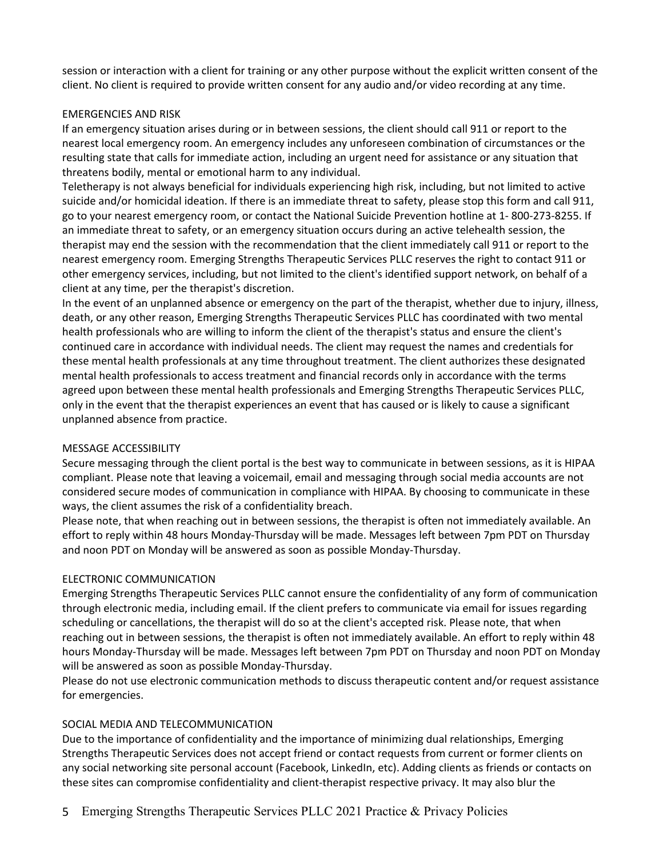session or interaction with a client for training or any other purpose without the explicit written consent of the client. No client is required to provide written consent for any audio and/or video recording at any time.

## EMERGENCIES AND RISK

If an emergency situation arises during or in between sessions, the client should call 911 or report to the nearest local emergency room. An emergency includes any unforeseen combination of circumstances or the resulting state that calls for immediate action, including an urgent need for assistance or any situation that threatens bodily, mental or emotional harm to any individual.

Teletherapy is not always beneficial for individuals experiencing high risk, including, but not limited to active suicide and/or homicidal ideation. If there is an immediate threat to safety, please stop this form and call 911, go to your nearest emergency room, or contact the National Suicide Prevention hotline at 1- 800-273-8255. If an immediate threat to safety, or an emergency situation occurs during an active telehealth session, the therapist may end the session with the recommendation that the client immediately call 911 or report to the nearest emergency room. Emerging Strengths Therapeutic Services PLLC reserves the right to contact 911 or other emergency services, including, but not limited to the client's identified support network, on behalf of a client at any time, per the therapist's discretion.

In the event of an unplanned absence or emergency on the part of the therapist, whether due to injury, illness, death, or any other reason, Emerging Strengths Therapeutic Services PLLC has coordinated with two mental health professionals who are willing to inform the client of the therapist's status and ensure the client's continued care in accordance with individual needs. The client may request the names and credentials for these mental health professionals at any time throughout treatment. The client authorizes these designated mental health professionals to access treatment and financial records only in accordance with the terms agreed upon between these mental health professionals and Emerging Strengths Therapeutic Services PLLC, only in the event that the therapist experiences an event that has caused or is likely to cause a significant unplanned absence from practice.

#### MESSAGE ACCESSIBILITY

Secure messaging through the client portal is the best way to communicate in between sessions, as it is HIPAA compliant. Please note that leaving a voicemail, email and messaging through social media accounts are not considered secure modes of communication in compliance with HIPAA. By choosing to communicate in these ways, the client assumes the risk of a confidentiality breach.

Please note, that when reaching out in between sessions, the therapist is often not immediately available. An effort to reply within 48 hours Monday-Thursday will be made. Messages left between 7pm PDT on Thursday and noon PDT on Monday will be answered as soon as possible Monday-Thursday.

#### ELECTRONIC COMMUNICATION

Emerging Strengths Therapeutic Services PLLC cannot ensure the confidentiality of any form of communication through electronic media, including email. If the client prefers to communicate via email for issues regarding scheduling or cancellations, the therapist will do so at the client's accepted risk. Please note, that when reaching out in between sessions, the therapist is often not immediately available. An effort to reply within 48 hours Monday-Thursday will be made. Messages left between 7pm PDT on Thursday and noon PDT on Monday will be answered as soon as possible Monday-Thursday.

Please do not use electronic communication methods to discuss therapeutic content and/or request assistance for emergencies.

## SOCIAL MEDIA AND TELECOMMUNICATION

Due to the importance of confidentiality and the importance of minimizing dual relationships, Emerging Strengths Therapeutic Services does not accept friend or contact requests from current or former clients on any social networking site personal account (Facebook, LinkedIn, etc). Adding clients as friends or contacts on these sites can compromise confidentiality and client-therapist respective privacy. It may also blur the

5 Emerging Strengths Therapeutic Services PLLC 2021 Practice & Privacy Policies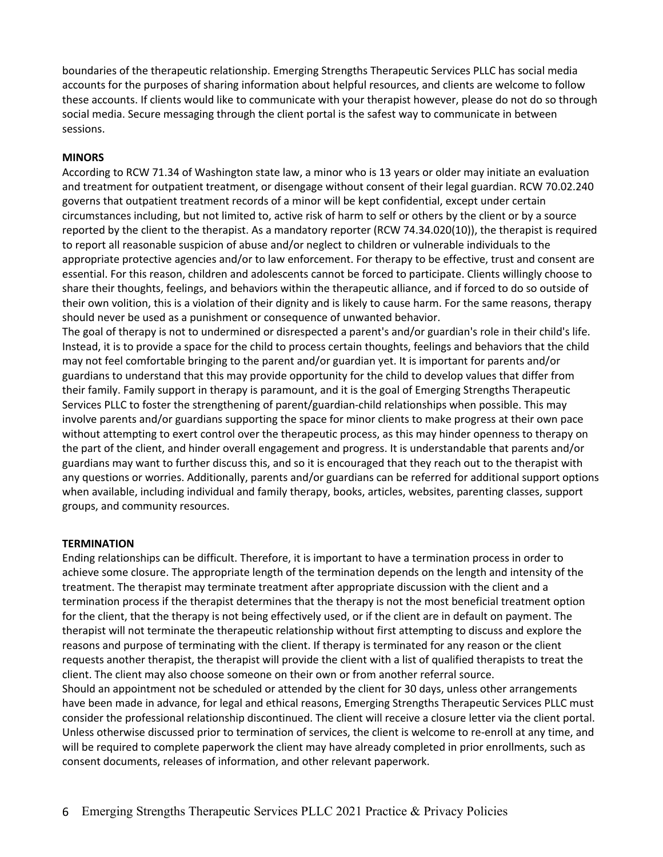boundaries of the therapeutic relationship. Emerging Strengths Therapeutic Services PLLC has social media accounts for the purposes of sharing information about helpful resources, and clients are welcome to follow these accounts. If clients would like to communicate with your therapist however, please do not do so through social media. Secure messaging through the client portal is the safest way to communicate in between sessions.

#### **MINORS**

According to RCW 71.34 of Washington state law, a minor who is 13 years or older may initiate an evaluation and treatment for outpatient treatment, or disengage without consent of their legal guardian. RCW 70.02.240 governs that outpatient treatment records of a minor will be kept confidential, except under certain circumstances including, but not limited to, active risk of harm to self or others by the client or by a source reported by the client to the therapist. As a mandatory reporter (RCW 74.34.020(10)), the therapist is required to report all reasonable suspicion of abuse and/or neglect to children or vulnerable individuals to the appropriate protective agencies and/or to law enforcement. For therapy to be effective, trust and consent are essential. For this reason, children and adolescents cannot be forced to participate. Clients willingly choose to share their thoughts, feelings, and behaviors within the therapeutic alliance, and if forced to do so outside of their own volition, this is a violation of their dignity and is likely to cause harm. For the same reasons, therapy should never be used as a punishment or consequence of unwanted behavior.

The goal of therapy is not to undermined or disrespected a parent's and/or guardian's role in their child's life. Instead, it is to provide a space for the child to process certain thoughts, feelings and behaviors that the child may not feel comfortable bringing to the parent and/or guardian yet. It is important for parents and/or guardians to understand that this may provide opportunity for the child to develop values that differ from their family. Family support in therapy is paramount, and it is the goal of Emerging Strengths Therapeutic Services PLLC to foster the strengthening of parent/guardian-child relationships when possible. This may involve parents and/or guardians supporting the space for minor clients to make progress at their own pace without attempting to exert control over the therapeutic process, as this may hinder openness to therapy on the part of the client, and hinder overall engagement and progress. It is understandable that parents and/or guardians may want to further discuss this, and so it is encouraged that they reach out to the therapist with any questions or worries. Additionally, parents and/or guardians can be referred for additional support options when available, including individual and family therapy, books, articles, websites, parenting classes, support groups, and community resources.

#### **TERMINATION**

Ending relationships can be difficult. Therefore, it is important to have a termination process in order to achieve some closure. The appropriate length of the termination depends on the length and intensity of the treatment. The therapist may terminate treatment after appropriate discussion with the client and a termination process if the therapist determines that the therapy is not the most beneficial treatment option for the client, that the therapy is not being effectively used, or if the client are in default on payment. The therapist will not terminate the therapeutic relationship without first attempting to discuss and explore the reasons and purpose of terminating with the client. If therapy is terminated for any reason or the client requests another therapist, the therapist will provide the client with a list of qualified therapists to treat the client. The client may also choose someone on their own or from another referral source. Should an appointment not be scheduled or attended by the client for 30 days, unless other arrangements have been made in advance, for legal and ethical reasons, Emerging Strengths Therapeutic Services PLLC must consider the professional relationship discontinued. The client will receive a closure letter via the client portal. Unless otherwise discussed prior to termination of services, the client is welcome to re-enroll at any time, and

will be required to complete paperwork the client may have already completed in prior enrollments, such as consent documents, releases of information, and other relevant paperwork.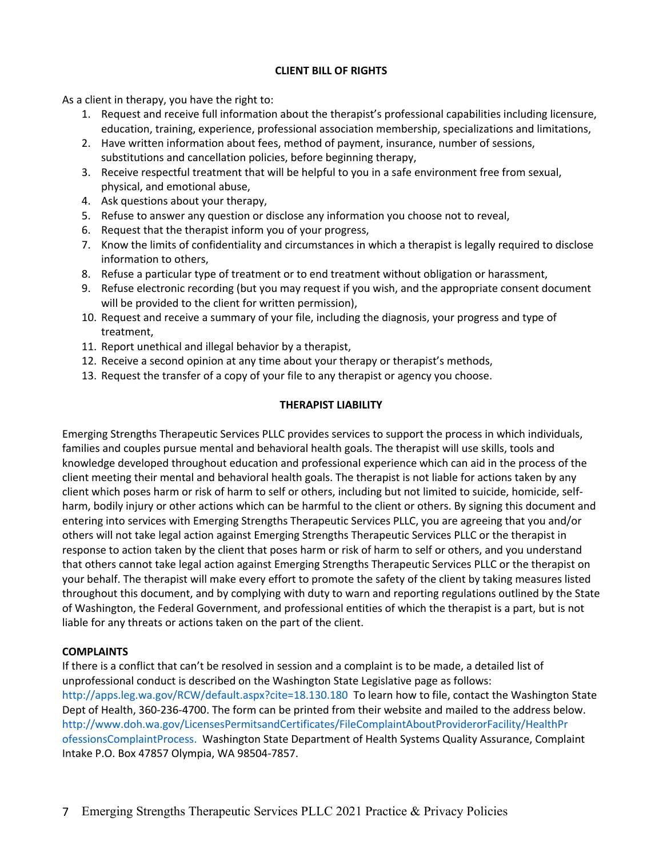## **CLIENT BILL OF RIGHTS**

As a client in therapy, you have the right to:

- 1. Request and receive full information about the therapist's professional capabilities including licensure, education, training, experience, professional association membership, specializations and limitations,
- 2. Have written information about fees, method of payment, insurance, number of sessions, substitutions and cancellation policies, before beginning therapy,
- 3. Receive respectful treatment that will be helpful to you in a safe environment free from sexual, physical, and emotional abuse,
- 4. Ask questions about your therapy,
- 5. Refuse to answer any question or disclose any information you choose not to reveal,
- 6. Request that the therapist inform you of your progress,
- 7. Know the limits of confidentiality and circumstances in which a therapist is legally required to disclose information to others,
- 8. Refuse a particular type of treatment or to end treatment without obligation or harassment,
- 9. Refuse electronic recording (but you may request if you wish, and the appropriate consent document will be provided to the client for written permission),
- 10. Request and receive a summary of your file, including the diagnosis, your progress and type of treatment,
- 11. Report unethical and illegal behavior by a therapist,
- 12. Receive a second opinion at any time about your therapy or therapist's methods,
- 13. Request the transfer of a copy of your file to any therapist or agency you choose.

# **THERAPIST LIABILITY**

Emerging Strengths Therapeutic Services PLLC provides services to support the process in which individuals, families and couples pursue mental and behavioral health goals. The therapist will use skills, tools and knowledge developed throughout education and professional experience which can aid in the process of the client meeting their mental and behavioral health goals. The therapist is not liable for actions taken by any client which poses harm or risk of harm to self or others, including but not limited to suicide, homicide, selfharm, bodily injury or other actions which can be harmful to the client or others. By signing this document and entering into services with Emerging Strengths Therapeutic Services PLLC, you are agreeing that you and/or others will not take legal action against Emerging Strengths Therapeutic Services PLLC or the therapist in response to action taken by the client that poses harm or risk of harm to self or others, and you understand that others cannot take legal action against Emerging Strengths Therapeutic Services PLLC or the therapist on your behalf. The therapist will make every effort to promote the safety of the client by taking measures listed throughout this document, and by complying with duty to warn and reporting regulations outlined by the State of Washington, the Federal Government, and professional entities of which the therapist is a part, but is not liable for any threats or actions taken on the part of the client.

# **COMPLAINTS**

If there is a conflict that can't be resolved in session and a complaint is to be made, a detailed list of unprofessional conduct is described on the Washington State Legislative page as follows: http://apps.leg.wa.gov/RCW/default.aspx?cite=18.130.180 To learn how to file, contact the Washington State Dept of Health, 360-236-4700. The form can be printed from their website and mailed to the address below. http://www.doh.wa.gov/LicensesPermitsandCertificates/FileComplaintAboutProviderorFacility/HealthPr ofessionsComplaintProcess. Washington State Department of Health Systems Quality Assurance, Complaint Intake P.O. Box 47857 Olympia, WA 98504-7857.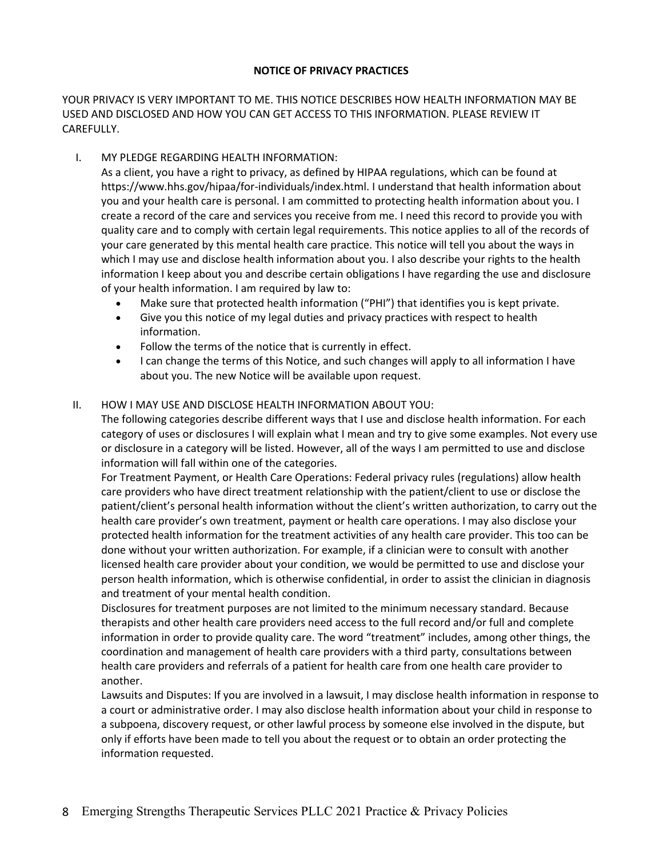## **NOTICE OF PRIVACY PRACTICES**

YOUR PRIVACY IS VERY IMPORTANT TO ME. THIS NOTICE DESCRIBES HOW HEALTH INFORMATION MAY BE USED AND DISCLOSED AND HOW YOU CAN GET ACCESS TO THIS INFORMATION. PLEASE REVIEW IT CAREFULLY.

# I. MY PLEDGE REGARDING HEALTH INFORMATION:

As a client, you have a right to privacy, as defined by HIPAA regulations, which can be found at https://www.hhs.gov/hipaa/for-individuals/index.html. I understand that health information about you and your health care is personal. I am committed to protecting health information about you. I create a record of the care and services you receive from me. I need this record to provide you with quality care and to comply with certain legal requirements. This notice applies to all of the records of your care generated by this mental health care practice. This notice will tell you about the ways in which I may use and disclose health information about you. I also describe your rights to the health information I keep about you and describe certain obligations I have regarding the use and disclosure of your health information. I am required by law to:

- Make sure that protected health information ("PHI") that identifies you is kept private.
- Give you this notice of my legal duties and privacy practices with respect to health information.
- Follow the terms of the notice that is currently in effect.
- I can change the terms of this Notice, and such changes will apply to all information I have about you. The new Notice will be available upon request.

## II. HOW I MAY USE AND DISCLOSE HEALTH INFORMATION ABOUT YOU:

The following categories describe different ways that I use and disclose health information. For each category of uses or disclosures I will explain what I mean and try to give some examples. Not every use or disclosure in a category will be listed. However, all of the ways I am permitted to use and disclose information will fall within one of the categories.

For Treatment Payment, or Health Care Operations: Federal privacy rules (regulations) allow health care providers who have direct treatment relationship with the patient/client to use or disclose the patient/client's personal health information without the client's written authorization, to carry out the health care provider's own treatment, payment or health care operations. I may also disclose your protected health information for the treatment activities of any health care provider. This too can be done without your written authorization. For example, if a clinician were to consult with another licensed health care provider about your condition, we would be permitted to use and disclose your person health information, which is otherwise confidential, in order to assist the clinician in diagnosis and treatment of your mental health condition.

Disclosures for treatment purposes are not limited to the minimum necessary standard. Because therapists and other health care providers need access to the full record and/or full and complete information in order to provide quality care. The word "treatment" includes, among other things, the coordination and management of health care providers with a third party, consultations between health care providers and referrals of a patient for health care from one health care provider to another.

Lawsuits and Disputes: If you are involved in a lawsuit, I may disclose health information in response to a court or administrative order. I may also disclose health information about your child in response to a subpoena, discovery request, or other lawful process by someone else involved in the dispute, but only if efforts have been made to tell you about the request or to obtain an order protecting the information requested.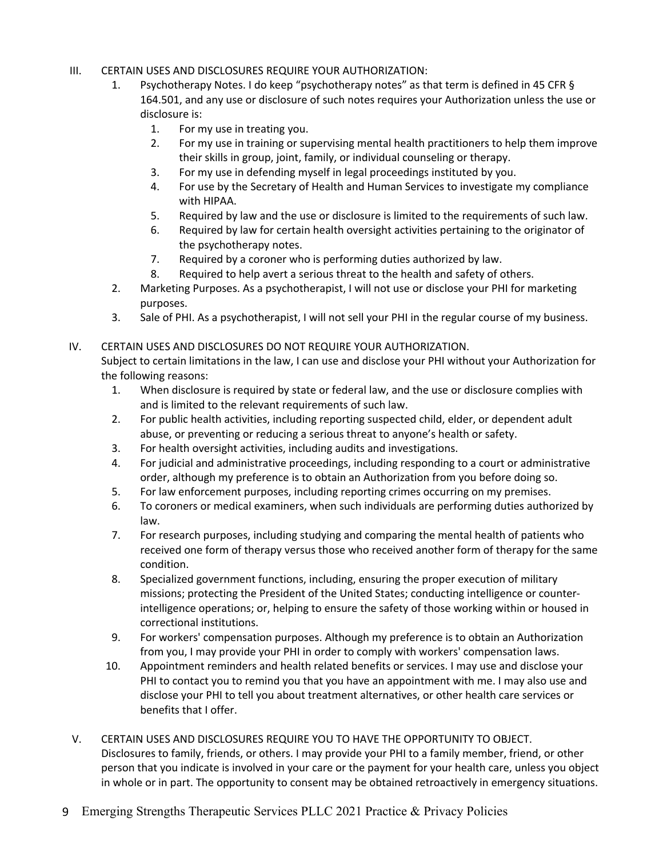# III. CERTAIN USES AND DISCLOSURES REQUIRE YOUR AUTHORIZATION:

- 1. Psychotherapy Notes. I do keep "psychotherapy notes" as that term is defined in 45 CFR § 164.501, and any use or disclosure of such notes requires your Authorization unless the use or disclosure is:
	- 1. For my use in treating you.
	- 2. For my use in training or supervising mental health practitioners to help them improve their skills in group, joint, family, or individual counseling or therapy.
	- 3. For my use in defending myself in legal proceedings instituted by you.
	- 4. For use by the Secretary of Health and Human Services to investigate my compliance with HIPAA.
	- 5. Required by law and the use or disclosure is limited to the requirements of such law.
	- 6. Required by law for certain health oversight activities pertaining to the originator of the psychotherapy notes.
	- 7. Required by a coroner who is performing duties authorized by law.
	- 8. Required to help avert a serious threat to the health and safety of others.
- 2. Marketing Purposes. As a psychotherapist, I will not use or disclose your PHI for marketing purposes.
- 3. Sale of PHI. As a psychotherapist, I will not sell your PHI in the regular course of my business.

## IV. CERTAIN USES AND DISCLOSURES DO NOT REQUIRE YOUR AUTHORIZATION.

Subject to certain limitations in the law, I can use and disclose your PHI without your Authorization for the following reasons:

- 1. When disclosure is required by state or federal law, and the use or disclosure complies with and is limited to the relevant requirements of such law.
- 2. For public health activities, including reporting suspected child, elder, or dependent adult abuse, or preventing or reducing a serious threat to anyone's health or safety.
- 3. For health oversight activities, including audits and investigations.
- 4. For judicial and administrative proceedings, including responding to a court or administrative order, although my preference is to obtain an Authorization from you before doing so.
- 5. For law enforcement purposes, including reporting crimes occurring on my premises.
- 6. To coroners or medical examiners, when such individuals are performing duties authorized by law.
- 7. For research purposes, including studying and comparing the mental health of patients who received one form of therapy versus those who received another form of therapy for the same condition.
- 8. Specialized government functions, including, ensuring the proper execution of military missions; protecting the President of the United States; conducting intelligence or counterintelligence operations; or, helping to ensure the safety of those working within or housed in correctional institutions.
- 9. For workers' compensation purposes. Although my preference is to obtain an Authorization from you, I may provide your PHI in order to comply with workers' compensation laws.
- 10. Appointment reminders and health related benefits or services. I may use and disclose your PHI to contact you to remind you that you have an appointment with me. I may also use and disclose your PHI to tell you about treatment alternatives, or other health care services or benefits that I offer.
- V. CERTAIN USES AND DISCLOSURES REQUIRE YOU TO HAVE THE OPPORTUNITY TO OBJECT. Disclosures to family, friends, or others. I may provide your PHI to a family member, friend, or other person that you indicate is involved in your care or the payment for your health care, unless you object in whole or in part. The opportunity to consent may be obtained retroactively in emergency situations.
- 9 Emerging Strengths Therapeutic Services PLLC 2021 Practice & Privacy Policies